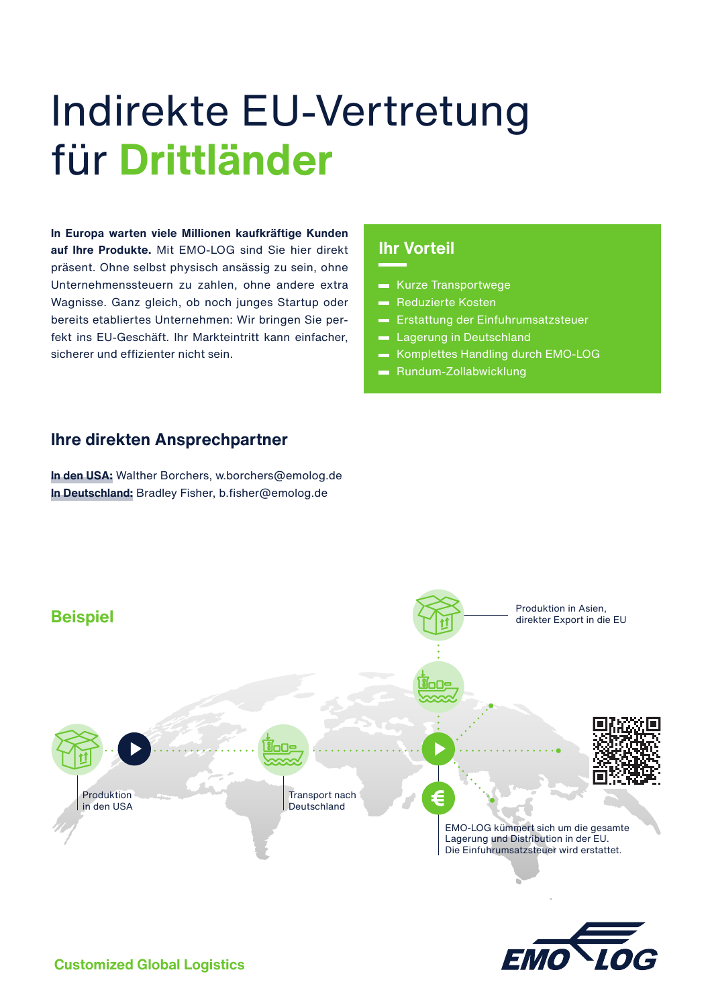# Indirekte EU-Vertretung für **Drittländer**

**In Europa warten viele Millionen kaufkräftige Kunden auf Ihre Produkte.** Mit EMO-LOG sind Sie hier direkt präsent. Ohne selbst physisch ansässig zu sein, ohne Unternehmenssteuern zu zahlen, ohne andere extra Wagnisse. Ganz gleich, ob noch junges Startup oder bereits etabliertes Unternehmen: Wir bringen Sie perfekt ins EU-Geschäft. Ihr Markteintritt kann einfacher, sicherer und effizienter nicht sein.

## **Ihr Vorteil**

- **Kurze Transportwege**
- **Reduzierte Kosten**
- **Erstattung der Einfuhrumsatzsteuer**
- **Lagerung in Deutschland**
- Komplettes Handling durch EMO-LOG
- **Rundum-Zollabwicklung**

#### **Ihre direkten Ansprechpartner**

**In den USA:** Walther Borchers, w.borchers@emolog.de **In Deutschland:** Bradley Fisher, b.fisher@emolog.de



**Customized Global Logistics**